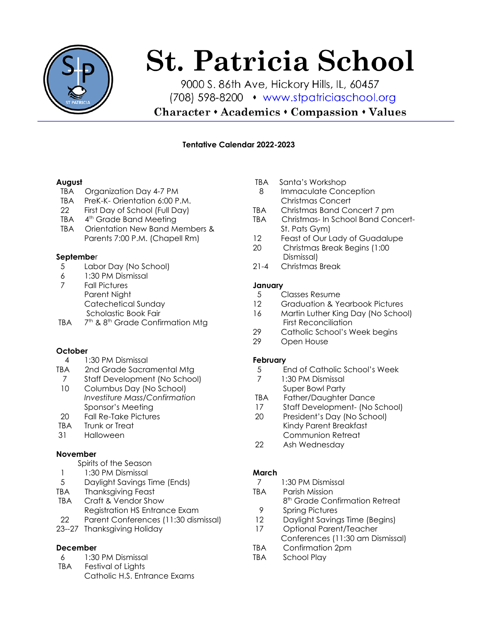

# **St. Patricia School**

9000 S. 86th Ave, Hickory Hills, IL, 60457 (708) 598-8200 • www.stpatriciaschool.org

**Character • Academics • Compassion • Values** 

#### **Tentative Calendar 2022-2023**

#### **August**

- TBA Organization Day 4-7 PM
- TBA PreK-K- Orientation 6:00 P M
- 22 First Day of School (Full Day)
- TBA 4<sup>th</sup> Grade Band Meeting
- TBA Orientation New Band Members & Parents 7:00 P.M. (Chapell Rm)

#### **Septembe**r

- 5 Labor Day (No School)<br>6 1:30 PM Dismissal
- 6 1:30 PM Dismissal<br>7 Fall Pictures
- **Fall Pictures** Parent Night Catechetical Sunday Scholastic Book Fair
- **TBA** <sup>th</sup> & 8<sup>th</sup> Grade Confirmation Mtg

#### **October**

- 4 1:30 PM Dismissal
- TBA 2nd Grade Sacramental Mtg
- 7 Staff Development (No School)<br>10 Columbus Day (No School)
- Columbus Day (No School) *Investiture Mass/Confirmation* Sponsor's Meeting
- 20 Fall Re-Take Pictures
- TBA Trunk or Treat<br>31 Halloween
- **Halloween**

#### **November**

- Spirits of the Season
- 1 1:30 PM Dismissal<br>5 Davliaht Savinas 1
- 5 Daylight Savings Time (Ends)
- TBA Thanksgiving Feast
- TBA Craft & Vendor Show Registration HS Entrance Exam
- 22 Parent Conferences (11:30 dismissal)
- 23--27 Thanksgiving Holiday

# **December**

- 6 1:30 PM Dismissal
- TBA Festival of Lights Catholic H.S. Entrance Exams
- TBA Santa's Workshop
- 8 Immaculate Conception Christmas Concert
- TBA Christmas Band Concert 7 pm
- TBA Christmas- In School Band Concert-St. Pats Gym)
- 12 Feast of Our Lady of Guadalupe
- 20 Christmas Break Begins (1:00 Dismissal)
- 21-4 Christmas Break

#### **January**

- 5 Classes Resume
- 12 Graduation & Yearbook Pictures
- 16 Martin Luther King Day (No School) First Reconciliation
- 29 Catholic School's Week begins
- 29 Open House

# **February**

- 5 End of Catholic School's Week<br>7 1:30 PM Dismissal
- 1:30 PM Dismissal Super Bowl Party
- TBA Father/Daughter Dance
- 17 Staff Development- (No School)
- 20 President's Day (No School) Kindy Parent Breakfast Communion Retreat
- 22 Ash Wednesday

# **March**

- 7 1:30 PM Dismissal
- TBA Parish Mission
	- 8<sup>th</sup> Grade Confirmation Retreat
	- 9 Spring Pictures
	- 12 Daylight Savings Time (Begins)<br>17 Optional Parent/Teacher
	- 17 Optional Parent/Teacher Conferences (11:30 am Dismissal)
- TBA Confirmation 2pm
- TBA School Play